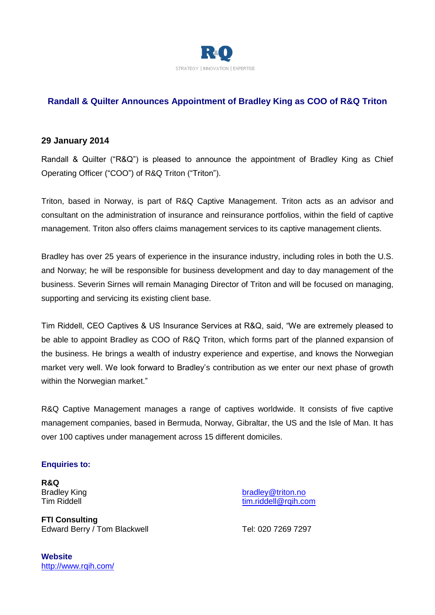

# **Randall & Quilter Announces Appointment of Bradley King as COO of R&Q Triton**

## **29 January 2014**

Randall & Quilter ("R&Q") is pleased to announce the appointment of Bradley King as Chief Operating Officer ("COO") of R&Q Triton ("Triton").

Triton, based in Norway, is part of R&Q Captive Management. Triton acts as an advisor and consultant on the administration of insurance and reinsurance portfolios, within the field of captive management. Triton also offers claims management services to its captive management clients.

Bradley has over 25 years of experience in the insurance industry, including roles in both the U.S. and Norway; he will be responsible for business development and day to day management of the business. Severin Sirnes will remain Managing Director of Triton and will be focused on managing, supporting and servicing its existing client base.

Tim Riddell, CEO Captives & US Insurance Services at R&Q, said, "We are extremely pleased to be able to appoint Bradley as COO of R&Q Triton, which forms part of the planned expansion of the business. He brings a wealth of industry experience and expertise, and knows the Norwegian market very well. We look forward to Bradley's contribution as we enter our next phase of growth within the Norwegian market."

R&Q Captive Management manages a range of captives worldwide. It consists of five captive management companies, based in Bermuda, Norway, Gibraltar, the US and the Isle of Man. It has over 100 captives under management across 15 different domiciles.

#### **Enquiries to:**

**R&Q**

**FTI Consulting** Edward Berry / Tom Blackwell Tel: 020 7269 7297

Bradley King bradley Christian bradley @triton.no Tim Riddell **Times** Times and Times and Times and Times and Times and Times and Times and Times and Times and Times and Times and Times and Times and Times and Times and Times and Times and Times and Times and Times and Ti

**Website** <http://www.rqih.com/>